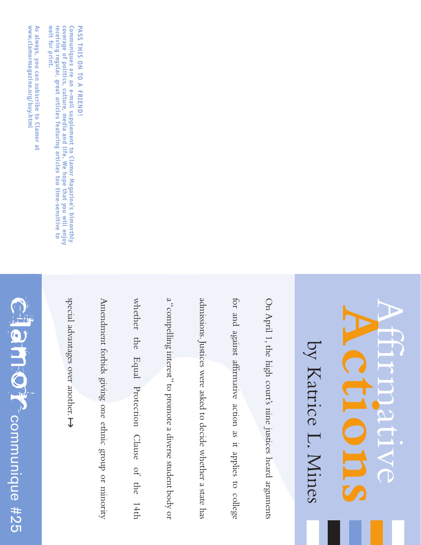## CLAC<sup>P</sup>Communique #25 communique #25

www.clamormagazine.org/buy.html As always, you can subscribe to Clamor at **www.clamormagazine.org/buy.html always, you can subscribe to Clamor at**

> special advantages over another. special advantages over another.

Amendment forbids giving one ethnic group or minority Amendment forbids giving one ethnic group or minority

whether the Equal Protection Clause of the 14th whether the Equal Protection Clause of the 14th

a "compelling interest" to promote a diverse student body or a "compelling interest"to promote a diverse student body or

admissions. Justices were asked to decide whether a state has admissions.Justices were asked to decide whether a state has

for and against affirmative action as it applies to college for and against affirmative action as it applies to college

On April 1,

by

Katrice L.

Mines

**Actions** Affirmative

On April 1, the high court's nine justices heard arguments the high court's nine justices heard arguments

Communiques are an e-mail supplement to Clamor Magazine's bimonthly<br>coverage of politics, culture, media and life. We hope that you will enjoy PASS THIS ON TO A FRIEND! **Communiques are an e-mail supplement to Clamor Magazine's bimonthly PASS THIS ON TO A FRIEND!**

receiving regular, great articles featuring articles too time-sensitive to **coverage of politics, culture, media and life. We hope that you will enjoy**

**wait for print.** 

wait for print.

**eceiving regular, great articles featuring articles too time-sensitive to**